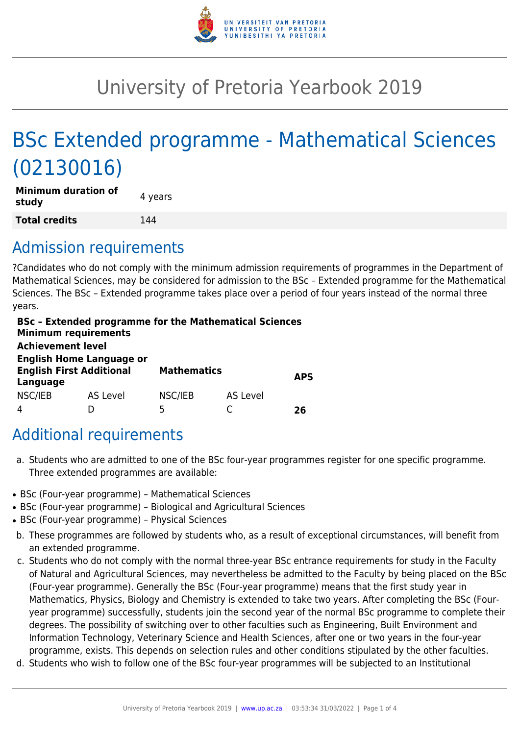

# University of Pretoria Yearbook 2019

# BSc Extended programme - Mathematical Sciences (02130016)

| <b>Minimum duration of</b><br>study | 4 years |
|-------------------------------------|---------|
| <b>Total credits</b>                | 144     |

# Admission requirements

?Candidates who do not comply with the minimum admission requirements of programmes in the Department of Mathematical Sciences, may be considered for admission to the BSc – Extended programme for the Mathematical Sciences. The BSc – Extended programme takes place over a period of four years instead of the normal three years.

| <b>Minimum requirements</b><br><b>Achievement level</b> | <b>BSc - Extended programme for the Mathematical Sciences</b> |                    |          |            |
|---------------------------------------------------------|---------------------------------------------------------------|--------------------|----------|------------|
|                                                         |                                                               |                    |          |            |
|                                                         | <b>English Home Language or</b>                               |                    |          |            |
| <b>English First Additional</b>                         |                                                               | <b>Mathematics</b> |          |            |
| Language                                                |                                                               |                    |          | <b>APS</b> |
| NSC/IEB                                                 | <b>AS Level</b>                                               | NSC/IEB            | AS Level |            |
|                                                         |                                                               | 5                  |          | 76         |

# Additional requirements

- a. Students who are admitted to one of the BSc four-year programmes register for one specific programme. Three extended programmes are available:
- BSc (Four-year programme) Mathematical Sciences
- BSc (Four-year programme) Biological and Agricultural Sciences
- BSc (Four-year programme) Physical Sciences
- b. These programmes are followed by students who, as a result of exceptional circumstances, will benefit from an extended programme.
- c. Students who do not comply with the normal three-year BSc entrance requirements for study in the Faculty of Natural and Agricultural Sciences, may nevertheless be admitted to the Faculty by being placed on the BSc (Four-year programme). Generally the BSc (Four-year programme) means that the first study year in Mathematics, Physics, Biology and Chemistry is extended to take two years. After completing the BSc (Fouryear programme) successfully, students join the second year of the normal BSc programme to complete their degrees. The possibility of switching over to other faculties such as Engineering, Built Environment and Information Technology, Veterinary Science and Health Sciences, after one or two years in the four-year programme, exists. This depends on selection rules and other conditions stipulated by the other faculties.
- d. Students who wish to follow one of the BSc four-year programmes will be subjected to an Institutional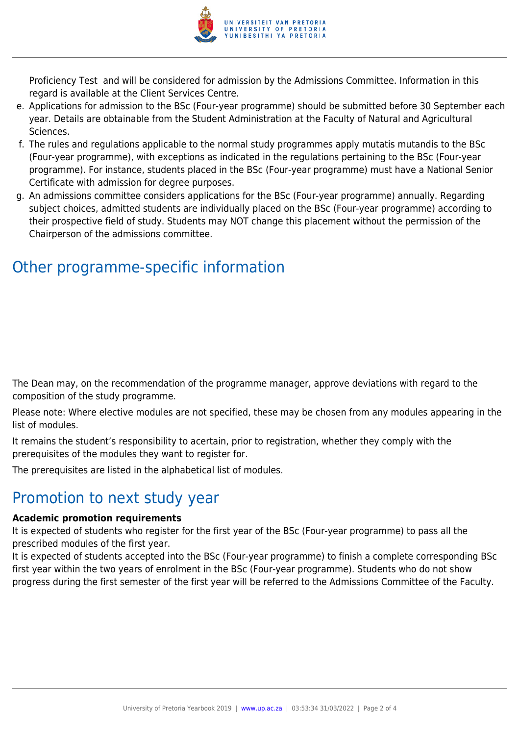

Proficiency Test and will be considered for admission by the Admissions Committee. Information in this regard is available at the Client Services Centre.

- e. Applications for admission to the BSc (Four-year programme) should be submitted before 30 September each year. Details are obtainable from the Student Administration at the Faculty of Natural and Agricultural Sciences.
- f. The rules and regulations applicable to the normal study programmes apply mutatis mutandis to the BSc (Four-year programme), with exceptions as indicated in the regulations pertaining to the BSc (Four-year programme). For instance, students placed in the BSc (Four-year programme) must have a National Senior Certificate with admission for degree purposes.
- g. An admissions committee considers applications for the BSc (Four-year programme) annually. Regarding subject choices, admitted students are individually placed on the BSc (Four-year programme) according to their prospective field of study. Students may NOT change this placement without the permission of the Chairperson of the admissions committee.

# Other programme-specific information

The Dean may, on the recommendation of the programme manager, approve deviations with regard to the composition of the study programme.

Please note: Where elective modules are not specified, these may be chosen from any modules appearing in the list of modules.

It remains the student's responsibility to acertain, prior to registration, whether they comply with the prerequisites of the modules they want to register for.

The prerequisites are listed in the alphabetical list of modules.

# Promotion to next study year

### **Academic promotion requirements**

It is expected of students who register for the first year of the BSc (Four-year programme) to pass all the prescribed modules of the first year.

It is expected of students accepted into the BSc (Four-year programme) to finish a complete corresponding BSc first year within the two years of enrolment in the BSc (Four-year programme). Students who do not show progress during the first semester of the first year will be referred to the Admissions Committee of the Faculty.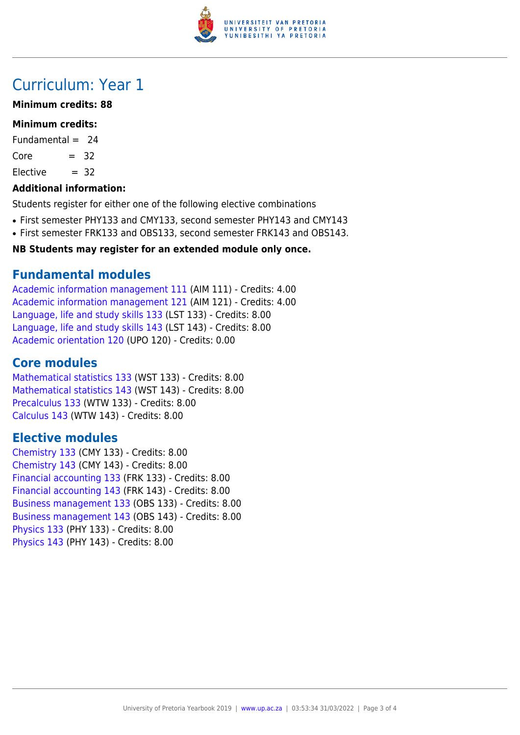

# Curriculum: Year 1

### **Minimum credits: 88**

### **Minimum credits:**

Fundamental  $= 24$ 

 $Core = 32$ 

 $Electric = 32$ 

### **Additional information:**

Students register for either one of the following elective combinations

- First semester PHY133 and CMY133, second semester PHY143 and CMY143
- First semester FRK133 and OBS133, second semester FRK143 and OBS143.

### **NB Students may register for an extended module only once.**

# **Fundamental modules**

[Academic information management 111](https://www.up.ac.za/yearbooks/2019/modules/view/AIM 111) (AIM 111) - Credits: 4.00 [Academic information management 121](https://www.up.ac.za/yearbooks/2019/modules/view/AIM 121) (AIM 121) - Credits: 4.00 [Language, life and study skills 133](https://www.up.ac.za/yearbooks/2019/modules/view/LST 133) (LST 133) - Credits: 8.00 [Language, life and study skills 143](https://www.up.ac.za/yearbooks/2019/modules/view/LST 143) (LST 143) - Credits: 8.00 [Academic orientation 120](https://www.up.ac.za/yearbooks/2019/modules/view/UPO 120) (UPO 120) - Credits: 0.00

# **Core modules**

[Mathematical statistics 133](https://www.up.ac.za/yearbooks/2019/modules/view/WST 133) (WST 133) - Credits: 8.00 [Mathematical statistics 143](https://www.up.ac.za/yearbooks/2019/modules/view/WST 143) (WST 143) - Credits: 8.00 [Precalculus 133](https://www.up.ac.za/yearbooks/2019/modules/view/WTW 133) (WTW 133) - Credits: 8.00 [Calculus 143](https://www.up.ac.za/yearbooks/2019/modules/view/WTW 143) (WTW 143) - Credits: 8.00

# **Elective modules**

[Chemistry 133](https://www.up.ac.za/yearbooks/2019/modules/view/CMY 133) (CMY 133) - Credits: 8.00 [Chemistry 143](https://www.up.ac.za/yearbooks/2019/modules/view/CMY 143) (CMY 143) - Credits: 8.00 [Financial accounting 133](https://www.up.ac.za/yearbooks/2019/modules/view/FRK 133) (FRK 133) - Credits: 8.00 [Financial accounting 143](https://www.up.ac.za/yearbooks/2019/modules/view/FRK 143) (FRK 143) - Credits: 8.00 [Business management 133](https://www.up.ac.za/yearbooks/2019/modules/view/OBS 133) (OBS 133) - Credits: 8.00 [Business management 143](https://www.up.ac.za/yearbooks/2019/modules/view/OBS 143) (OBS 143) - Credits: 8.00 [Physics 133](https://www.up.ac.za/yearbooks/2019/modules/view/PHY 133) (PHY 133) - Credits: 8.00 [Physics 143](https://www.up.ac.za/yearbooks/2019/modules/view/PHY 143) (PHY 143) - Credits: 8.00